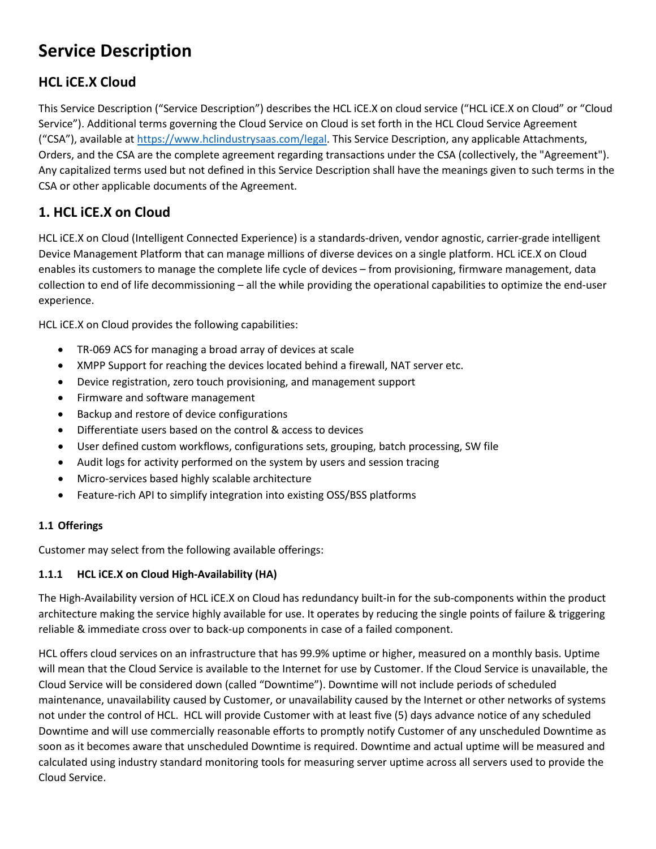# **Service Description**

# **HCL iCE.X Cloud**

This Service Description ("Service Description") describes the HCL iCE.X on cloud service ("HCL iCE.X on Cloud" or "Cloud Service"). Additional terms governing the Cloud Service on Cloud is set forth in the HCL Cloud Service Agreement ("CSA"), available at [https://www.hclindustrysaas.com/legal.](https://www.hclindustrysaas.com/legal) This Service Description, any applicable Attachments, Orders, and the CSA are the complete agreement regarding transactions under the CSA (collectively, the "Agreement"). Any capitalized terms used but not defined in this Service Description shall have the meanings given to such terms in the CSA or other applicable documents of the Agreement.

# **1. HCL iCE.X on Cloud**

HCL iCE.X on Cloud (Intelligent Connected Experience) is a standards-driven, vendor agnostic, carrier-grade intelligent Device Management Platform that can manage millions of diverse devices on a single platform. HCL iCE.X on Cloud enables its customers to manage the complete life cycle of devices – from provisioning, firmware management, data collection to end of life decommissioning – all the while providing the operational capabilities to optimize the end-user experience.

HCL iCE.X on Cloud provides the following capabilities:

- TR-069 ACS for managing a broad array of devices at scale
- XMPP Support for reaching the devices located behind a firewall, NAT server etc.
- Device registration, zero touch provisioning, and management support
- Firmware and software management
- Backup and restore of device configurations
- Differentiate users based on the control & access to devices
- User defined custom workflows, configurations sets, grouping, batch processing, SW file
- Audit logs for activity performed on the system by users and session tracing
- Micro-services based highly scalable architecture
- Feature-rich API to simplify integration into existing OSS/BSS platforms

#### **1.1 Offerings**

Customer may select from the following available offerings:

#### **1.1.1 HCL iCE.X on Cloud High-Availability (HA)**

The High-Availability version of HCL iCE.X on Cloud has redundancy built-in for the sub-components within the product architecture making the service highly available for use. It operates by reducing the single points of failure & triggering reliable & immediate cross over to back-up components in case of a failed component.

HCL offers cloud services on an infrastructure that has 99.9% uptime or higher, measured on a monthly basis. Uptime will mean that the Cloud Service is available to the Internet for use by Customer. If the Cloud Service is unavailable, the Cloud Service will be considered down (called "Downtime"). Downtime will not include periods of scheduled maintenance, unavailability caused by Customer, or unavailability caused by the Internet or other networks of systems not under the control of HCL. HCL will provide Customer with at least five (5) days advance notice of any scheduled Downtime and will use commercially reasonable efforts to promptly notify Customer of any unscheduled Downtime as soon as it becomes aware that unscheduled Downtime is required. Downtime and actual uptime will be measured and calculated using industry standard monitoring tools for measuring server uptime across all servers used to provide the Cloud Service.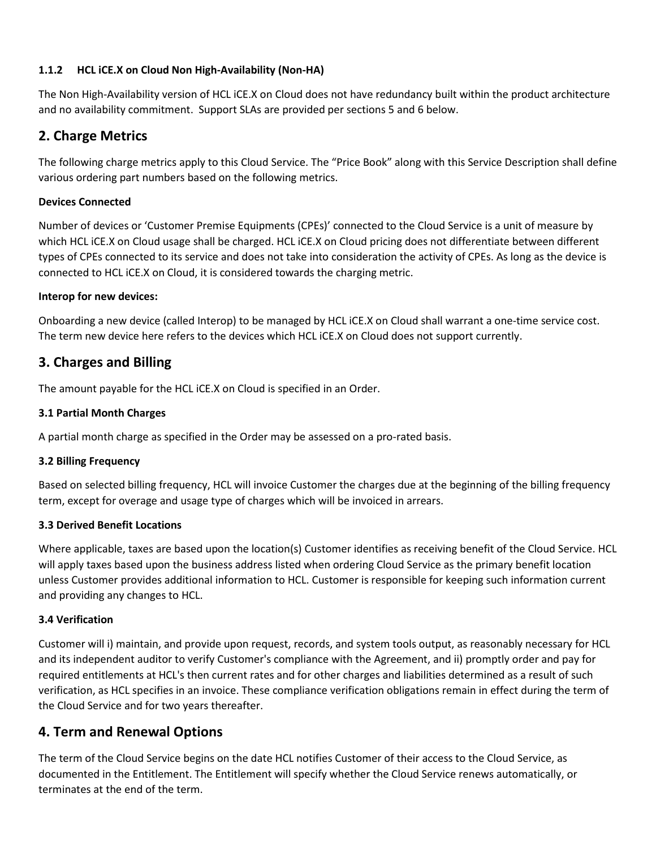#### **1.1.2 HCL iCE.X on Cloud Non High-Availability (Non-HA)**

The Non High-Availability version of HCL iCE.X on Cloud does not have redundancy built within the product architecture and no availability commitment. Support SLAs are provided per sections 5 and 6 below.

### **2. Charge Metrics**

The following charge metrics apply to this Cloud Service. The "Price Book" along with this Service Description shall define various ordering part numbers based on the following metrics.

#### **Devices Connected**

Number of devices or 'Customer Premise Equipments (CPEs)' connected to the Cloud Service is a unit of measure by which HCL iCE.X on Cloud usage shall be charged. HCL iCE.X on Cloud pricing does not differentiate between different types of CPEs connected to its service and does not take into consideration the activity of CPEs. As long as the device is connected to HCL iCE.X on Cloud, it is considered towards the charging metric.

#### **Interop for new devices:**

Onboarding a new device (called Interop) to be managed by HCL iCE.X on Cloud shall warrant a one-time service cost. The term new device here refers to the devices which HCL iCE.X on Cloud does not support currently.

### **3. Charges and Billing**

The amount payable for the HCL iCE.X on Cloud is specified in an Order.

#### **3.1 Partial Month Charges**

A partial month charge as specified in the Order may be assessed on a pro-rated basis.

#### **3.2 Billing Frequency**

Based on selected billing frequency, HCL will invoice Customer the charges due at the beginning of the billing frequency term, except for overage and usage type of charges which will be invoiced in arrears.

#### **3.3 Derived Benefit Locations**

Where applicable, taxes are based upon the location(s) Customer identifies as receiving benefit of the Cloud Service. HCL will apply taxes based upon the business address listed when ordering Cloud Service as the primary benefit location unless Customer provides additional information to HCL. Customer is responsible for keeping such information current and providing any changes to HCL.

#### **3.4 Verification**

Customer will i) maintain, and provide upon request, records, and system tools output, as reasonably necessary for HCL and its independent auditor to verify Customer's compliance with the Agreement, and ii) promptly order and pay for required entitlements at HCL's then current rates and for other charges and liabilities determined as a result of such verification, as HCL specifies in an invoice. These compliance verification obligations remain in effect during the term of the Cloud Service and for two years thereafter.

### **4. Term and Renewal Options**

The term of the Cloud Service begins on the date HCL notifies Customer of their access to the Cloud Service, as documented in the Entitlement. The Entitlement will specify whether the Cloud Service renews automatically, or terminates at the end of the term.